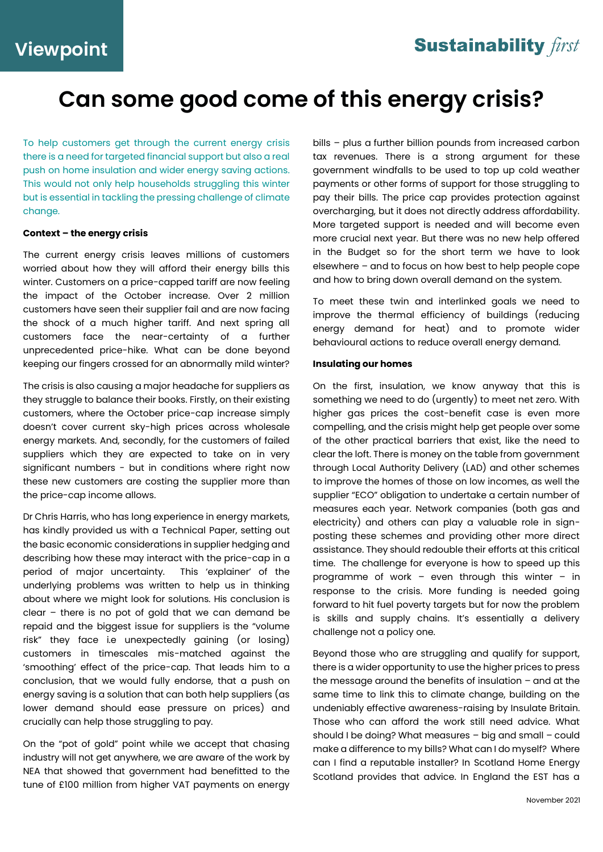### **Sustainability** first

# **Can some good come of this energy crisis?**

To help customers get through the current energy crisis there is a need for targeted financial support but also a real push on home insulation and wider energy saving actions. This would not only help households struggling this winter but is essential in tackling the pressing challenge of climate change.

### **Context – the energy crisis**

The current energy crisis leaves millions of customers worried about how they will afford their energy bills this winter. Customers on a price-capped tariff are now feeling the impact of the October increase. Over 2 million customers have seen their supplier fail and are now facing the shock of a much higher tariff. And next spring all customers face the near-certainty of a further unprecedented price-hike. What can be done beyond keeping our fingers crossed for an abnormally mild winter?

The crisis is also causing a major headache for suppliers as they struggle to balance their books. Firstly, on their existing customers, where the October price-cap increase simply doesn't cover current sky-high prices across wholesale energy markets. And, secondly, for the customers of failed suppliers which they are expected to take on in very significant numbers - but in conditions where right now these new customers are costing the supplier more than the price-cap income allows.

Dr Chris Harris, who has long experience in energy markets, has kindly provided us with a Technical Paper, setting out the basic economic considerations in supplier hedging and describing how these may interact with the price-cap in a period of major uncertainty. This 'explainer' of the underlying problems was written to help us in thinking about where we might look for solutions. His conclusion is clear – there is no pot of gold that we can demand be repaid and the biggest issue for suppliers is the "volume risk" they face i.e unexpectedly gaining (or losing) customers in timescales mis-matched against the 'smoothing' effect of the price-cap. That leads him to a conclusion, that we would fully endorse, that a push on energy saving is a solution that can both help suppliers (as lower demand should ease pressure on prices) and crucially can help those struggling to pay.

On the "pot of gold" point while we accept that chasing industry will not get anywhere, we are aware of the work by NEA that showed that government had benefitted to the tune of £100 million from higher VAT payments on energy

bills – plus a further billion pounds from increased carbon tax revenues. There is a strong argument for these government windfalls to be used to top up cold weather payments or other forms of support for those struggling to pay their bills. The price cap provides protection against overcharging, but it does not directly address affordability. More targeted support is needed and will become even more crucial next year. But there was no new help offered in the Budget so for the short term we have to look elsewhere – and to focus on how best to help people cope and how to bring down overall demand on the system.

To meet these twin and interlinked goals we need to improve the thermal efficiency of buildings (reducing energy demand for heat) and to promote wider behavioural actions to reduce overall energy demand.

### **Insulating our homes**

On the first, insulation, we know anyway that this is something we need to do (urgently) to meet net zero. With higher gas prices the cost-benefit case is even more compelling, and the crisis might help get people over some of the other practical barriers that exist, like the need to clear the loft. There is money on the table from government through Local Authority Delivery (LAD) and other schemes to improve the homes of those on low incomes, as well the supplier "ECO" obligation to undertake a certain number of measures each year. Network companies (both gas and electricity) and others can play a valuable role in signposting these schemes and providing other more direct assistance. They should redouble their efforts at this critical time. The challenge for everyone is how to speed up this programme of work – even through this winter – in response to the crisis. More funding is needed going forward to hit fuel poverty targets but for now the problem is skills and supply chains. It's essentially a delivery challenge not a policy one.

Beyond those who are struggling and qualify for support, there is a wider opportunity to use the higher prices to press the message around the benefits of insulation – and at the same time to link this to climate change, building on the undeniably effective awareness-raising by Insulate Britain. Those who can afford the work still need advice. What should I be doing? What measures – big and small – could make a difference to my bills? What can I do myself? Where can I find a reputable installer? In Scotland Home Energy Scotland provides that advice. In England the EST has a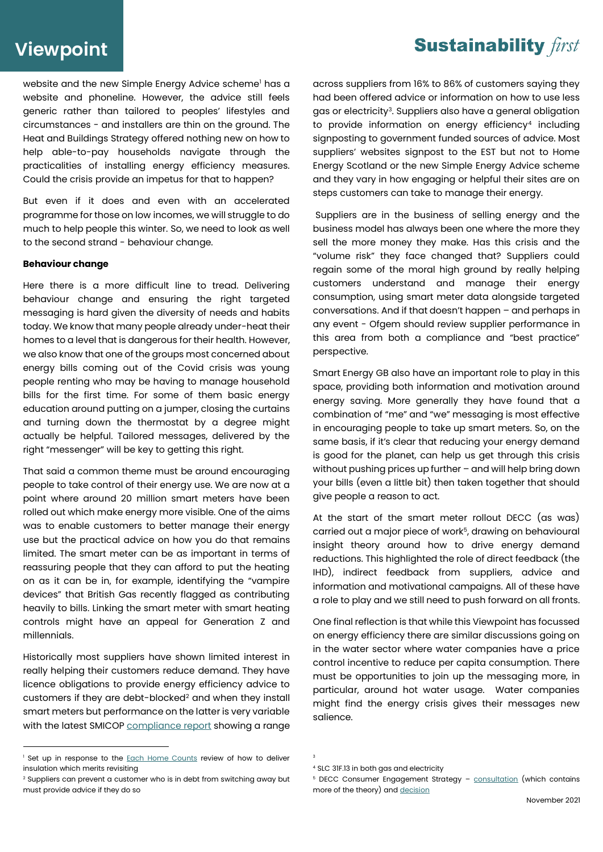# **Viewpoint**

website and the new Simple Energy Advice scheme<sup>1</sup> has a website and phoneline. However, the advice still feels generic rather than tailored to peoples' lifestyles and circumstances - and installers are thin on the ground. The Heat and Buildings Strategy offered nothing new on how to help able-to-pay households navigate through the practicalities of installing energy efficiency measures. Could the crisis provide an impetus for that to happen?

But even if it does and even with an accelerated programme for those on low incomes, we will struggle to do much to help people this winter. So, we need to look as well to the second strand - behaviour change.

#### **Behaviour change**

Here there is a more difficult line to tread. Delivering behaviour change and ensuring the right targeted messaging is hard given the diversity of needs and habits today. We know that many people already under-heat their homes to a level that is dangerous for their health. However, we also know that one of the groups most concerned about energy bills coming out of the Covid crisis was young people renting who may be having to manage household bills for the first time. For some of them basic energy education around putting on a jumper, closing the curtains and turning down the thermostat by a degree might actually be helpful. Tailored messages, delivered by the right "messenger" will be key to getting this right.

That said a common theme must be around encouraging people to take control of their energy use. We are now at a point where around 20 million smart meters have been rolled out which make energy more visible. One of the aims was to enable customers to better manage their energy use but the practical advice on how you do that remains limited. The smart meter can be as important in terms of reassuring people that they can afford to put the heating on as it can be in, for example, identifying the "vampire devices" that British Gas recently flagged as contributing heavily to bills. Linking the smart meter with smart heating controls might have an appeal for Generation Z and millennials.

Historically most suppliers have shown limited interest in really helping their customers reduce demand. They have licence obligations to provide energy efficiency advice to customers if they are debt-blocked<sup>2</sup> and when they install smart meters but performance on the latter is very variable with the latest SMICOP [compliance report](https://recportal.co.uk/web/guest/supplier-performance-reporting) showing a range across suppliers from 16% to 86% of customers saying they had been offered advice or information on how to use less gas or electricity<sup>3</sup>. Suppliers also have a general obligation to provide information on energy efficiency<sup>4</sup> including signposting to government funded sources of advice. Most suppliers' websites signpost to the EST but not to Home Energy Scotland or the new Simple Energy Advice scheme and they vary in how engaging or helpful their sites are on steps customers can take to manage their energy.

Suppliers are in the business of selling energy and the business model has always been one where the more they sell the more money they make. Has this crisis and the "volume risk" they face changed that? Suppliers could regain some of the moral high ground by really helping customers understand and manage their energy consumption, using smart meter data alongside targeted conversations. And if that doesn't happen – and perhaps in any event - Ofgem should review supplier performance in this area from both a compliance and "best practice" perspective.

Smart Energy GB also have an important role to play in this space, providing both information and motivation around energy saving. More generally they have found that a combination of "me" and "we" messaging is most effective in encouraging people to take up smart meters. So, on the same basis, if it's clear that reducing your energy demand is good for the planet, can help us get through this crisis without pushing prices up further – and will help bring down your bills (even a little bit) then taken together that should give people a reason to act.

At the start of the smart meter rollout DECC (as was) carried out a major piece of work<sup>5</sup> , drawing on behavioural insight theory around how to drive energy demand reductions. This highlighted the role of direct feedback (the IHD), indirect feedback from suppliers, advice and information and motivational campaigns. All of these have a role to play and we still need to push forward on all fronts.

One final reflection is that while this Viewpoint has focussed on energy efficiency there are similar discussions going on in the water sector where water companies have a price control incentive to reduce per capita consumption. There must be opportunities to join up the messaging more, in particular, around hot water usage. Water companies might find the energy crisis gives their messages new salience.

### **Sustainability** first

<sup>&</sup>lt;sup>1</sup> Set up in response to the **Each Home Counts** review of how to deliver insulation which merits revisiting

<sup>2</sup> Suppliers can prevent a customer who is in debt from switching away but must provide advice if they do so

<sup>3</sup>

<sup>4</sup> SLC 31F.13 in both gas and electricity

<sup>&</sup>lt;sup>5</sup> DECC Consumer Engagement Strategy - [consultation](https://webarchive.nationalarchives.gov.uk/ukgwa/20121217150421/http:/www.decc.gov.uk/assets/decc/11/consultation/smart-metering-imp-prog/4897-consumer-engagement-strategy-con-doc.pdf) (which contains more of the theory) an[d decision](https://assets.publishing.service.gov.uk/government/uploads/system/uploads/attachment_data/file/43042/7224-gov-resp-sm-consumer-engagement.pdf)